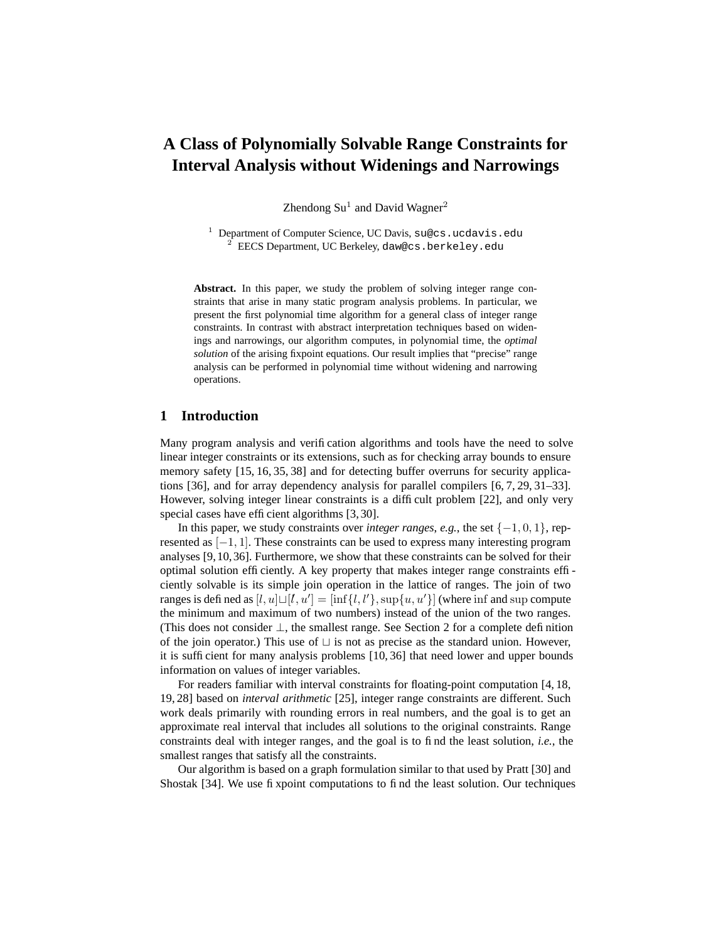# **A Class of Polynomially Solvable Range Constraints for Interval Analysis without Widenings and Narrowings**

Zhendong  $Su^1$  and David Wagner<sup>2</sup>

<sup>1</sup> Department of Computer Science, UC Davis, su@cs.ucdavis.edu <sup>2</sup> EECS Department, UC Berkeley, daw@cs.berkeley.edu

**Abstract.** In this paper, we study the problem of solving integer range constraints that arise in many static program analysis problems. In particular, we present the first polynomial time algorithm for a general class of integer range constraints. In contrast with abstract interpretation techniques based on widenings and narrowings, our algorithm computes, in polynomial time, the *optimal solution* of the arising fixpoint equations. Our result implies that "precise" range analysis can be performed in polynomial time without widening and narrowing operations.

### **1 Introduction**

Many program analysis and verification algorithms and tools have the need to solve linear integer constraints or its extensions, such as for checking array bounds to ensure memory safety [15, 16, 35, 38] and for detecting buffer overruns for security applications [36], and for array dependency analysis for parallel compilers [6, 7, 29, 31–33]. However, solving integer linear constraints is a difficult problem [22], and only very special cases have efficient algorithms [3, 30].

In this paper, we study constraints over *integer ranges*, *e.g.*, the set  $\{-1, 0, 1\}$ , represented as [−1, 1]. These constraints can be used to express many interesting program analyses [9,10,36]. Furthermore, we show that these constraints can be solved for their optimal solution efficiently. A key property that makes integer range constraints efficiently solvable is its simple join operation in the lattice of ranges. The join of two ranges is defined as  $[l, u] \sqcup [l, u'] = [\inf\{l, l'\}, \sup\{u, u'\}]$  (where  $\inf$  and  $\sup$  compute the minimum and maximum of two numbers) instead of the union of the two ranges. (This does not consider ⊥, the smallest range. See Section 2 for a complete definition of the join operator.) This use of  $\sqcup$  is not as precise as the standard union. However, it is sufficient for many analysis problems [10, 36] that need lower and upper bounds information on values of integer variables.

For readers familiar with interval constraints for floating-point computation [4, 18, 19, 28] based on *interval arithmetic* [25], integer range constraints are different. Such work deals primarily with rounding errors in real numbers, and the goal is to get an approximate real interval that includes all solutions to the original constraints. Range constraints deal with integer ranges, and the goal is to find the least solution, *i.e.*, the smallest ranges that satisfy all the constraints.

Our algorithm is based on a graph formulation similar to that used by Pratt [30] and Shostak [34]. We use fixpoint computations to find the least solution. Our techniques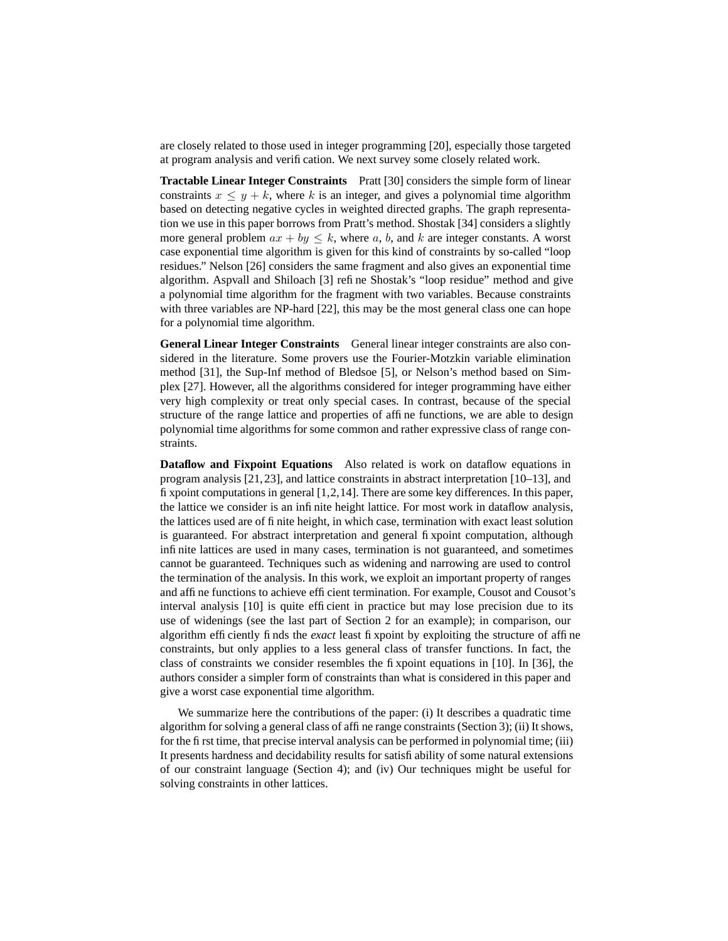are closely related to those used in integer programming [20], especially those targeted at program analysis and verification. We next survey some closely related work.

**Tractable Linear Integer Constraints** Pratt [30] considers the simple form of linear constraints  $x \leq y + k$ , where k is an integer, and gives a polynomial time algorithm based on detecting negative cycles in weighted directed graphs. The graph representation we use in this paper borrows from Pratt's method. Shostak [34] considers a slightly more general problem  $ax + by \le k$ , where a, b, and k are integer constants. A worst case exponential time algorithm is given for this kind of constraints by so-called "loop residues." Nelson [26] considers the same fragment and also gives an exponential time algorithm. Aspvall and Shiloach [3] refine Shostak's "loop residue" method and give a polynomial time algorithm for the fragment with two variables. Because constraints with three variables are NP-hard [22], this may be the most general class one can hope for a polynomial time algorithm.

**General Linear Integer Constraints** General linear integer constraints are also considered in the literature. Some provers use the Fourier-Motzkin variable elimination method [31], the Sup-Inf method of Bledsoe [5], or Nelson's method based on Simplex [27]. However, all the algorithms considered for integer programming have either very high complexity or treat only special cases. In contrast, because of the special structure of the range lattice and properties of affine functions, we are able to design polynomial time algorithms for some common and rather expressive class of range constraints.

**Dataflow and Fixpoint Equations** Also related is work on dataflow equations in program analysis [21,23], and lattice constraints in abstract interpretation [10–13], and fixpoint computations in general  $[1,2,14]$ . There are some key differences. In this paper, the lattice we consider is an infinite height lattice. For most work in dataflow analysis, the lattices used are of finite height, in which case, termination with exact least solution is guaranteed. For abstract interpretation and general fixpoint computation, although infinite lattices are used in many cases, termination is not guaranteed, and sometimes cannot be guaranteed. Techniques such as widening and narrowing are used to control the termination of the analysis. In this work, we exploit an important property of ranges and affine functions to achieve efficient termination. For example, Cousot and Cousot's interval analysis [10] is quite efficient in practice but may lose precision due to its use of widenings (see the last part of Section 2 for an example); in comparison, our algorithm efficiently finds the *exact* least fixpoint by exploiting the structure of affine constraints, but only applies to a less general class of transfer functions. In fact, the class of constraints we consider resembles the fixpoint equations in [10]. In [36], the authors consider a simpler form of constraints than what is considered in this paper and give a worst case exponential time algorithm.

We summarize here the contributions of the paper: (i) It describes a quadratic time algorithm for solving a general class of affine range constraints (Section 3); (ii) It shows, for the first time, that precise interval analysis can be performed in polynomial time; (iii) It presents hardness and decidability results for satisfiability of some natural extensions of our constraint language (Section 4); and (iv) Our techniques might be useful for solving constraints in other lattices.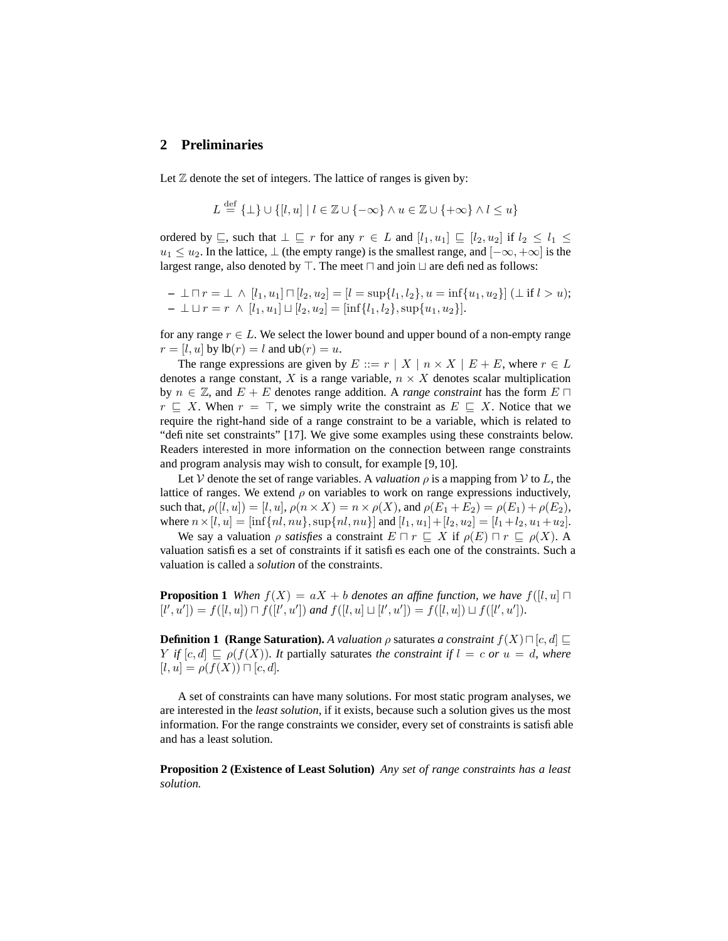# **2 Preliminaries**

Let  $\mathbb Z$  denote the set of integers. The lattice of ranges is given by:

$$
L \stackrel{\text{def}}{=} {\{\bot\}} \cup \{[l, u] \mid l \in \mathbb{Z} \cup \{-\infty\} \land u \in \mathbb{Z} \cup \{+\infty\} \land l \leq u\}
$$

ordered by  $\sqsubseteq$ , such that  $\bot \sqsubseteq r$  for any  $r \in L$  and  $[l_1, u_1] \sqsubseteq [l_2, u_2]$  if  $l_2 \leq l_1 \leq$  $u_1 \leq u_2$ . In the lattice,  $\perp$  (the empty range) is the smallest range, and  $[-\infty, +\infty]$  is the largest range, also denoted by  $\top$ . The meet  $\top$  and join  $\sqcup$  are defined as follows:

$$
- \perp \Box r = \perp \land [l_1, u_1] \sqcap [l_2, u_2] = [l = \sup\{l_1, l_2\}, u = \inf\{u_1, u_2\}] \ (\perp \text{ if } l > u);
$$
  

$$
- \perp \Box r = r \land [l_1, u_1] \sqcup [l_2, u_2] = [\inf\{l_1, l_2\}, \sup\{u_1, u_2\}].
$$

for any range  $r \in L$ . We select the lower bound and upper bound of a non-empty range  $r = [l, u]$  by  $\mathsf{lb}(r) = l$  and  $\mathsf{ub}(r) = u$ .

The range expressions are given by  $E ::= r | X | n \times X | E + E$ , where  $r \in L$ denotes a range constant, X is a range variable,  $n \times X$  denotes scalar multiplication by  $n \in \mathbb{Z}$ , and  $E + E$  denotes range addition. A *range constraint* has the form  $E \sqcap$  $r \subseteq X$ . When  $r = \top$ , we simply write the constraint as  $E \subseteq X$ . Notice that we require the right-hand side of a range constraint to be a variable, which is related to "definite set constraints" [17]. We give some examples using these constraints below. Readers interested in more information on the connection between range constraints and program analysis may wish to consult, for example [9, 10].

Let  $V$  denote the set of range variables. A *valuation*  $\rho$  is a mapping from  $V$  to L, the lattice of ranges. We extend  $\rho$  on variables to work on range expressions inductively, such that,  $\rho([l, u]) = [l, u], \rho(n \times X) = n \times \rho(X)$ , and  $\rho(E_1 + E_2) = \rho(E_1) + \rho(E_2)$ , where  $n \times [l, u] = [\inf\{nl, nu\}, \sup\{nl, nu\}]$  and  $[l_1, u_1] + [l_2, u_2] = [l_1 + l_2, u_1 + u_2]$ .

We say a valuation  $\rho$  *satisfies* a constraint  $E \sqcap r \sqsubseteq X$  if  $\rho(E) \sqcap r \sqsubseteq \rho(X)$ . A valuation satisfies a set of constraints if it satisfies each one of the constraints. Such a valuation is called a *solution* of the constraints.

**Proposition 1** When  $f(X) = aX + b$  denotes an affine function, we have  $f([l, u] \sqcap$  $[l', u'] = f([l, u]) \sqcap f([l', u'])$  and  $f([l, u] \sqcup [l', u']) = f([l, u]) \sqcup f([l', u']).$ 

**Definition 1 (Range Saturation).** *A valuation*  $\rho$  saturates *a constraint*  $f(X) \sqcap [c, d] \sqsubseteq$  $Y$  *if*  $[c, d] \sqsubseteq \rho(f(X))$ *. It* partially saturates *the constraint if*  $l = c$  *or*  $u = d$ *, where*  $[l, u] = \rho(f(X)) \sqcap [c, d].$ 

A set of constraints can have many solutions. For most static program analyses, we are interested in the *least solution*, if it exists, because such a solution gives us the most information. For the range constraints we consider, every set of constraints is satisfiable and has a least solution.

**Proposition 2 (Existence of Least Solution)** *Any set of range constraints has a least solution.*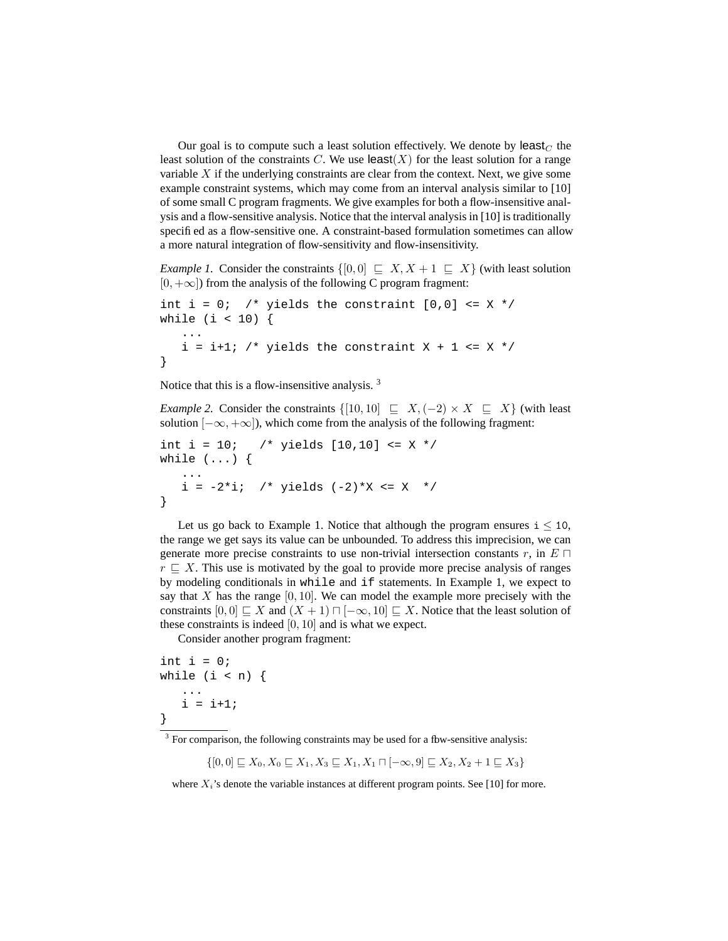Our goal is to compute such a least solution effectively. We denote by least<sub>C</sub> the least solution of the constraints C. We use  $\text{least}(X)$  for the least solution for a range variable  $X$  if the underlying constraints are clear from the context. Next, we give some example constraint systems, which may come from an interval analysis similar to [10] of some small C program fragments. We give examples for both a flow-insensitive analysis and a flow-sensitive analysis. Notice that the interval analysis in [10] is traditionally specified as a flow-sensitive one. A constraint-based formulation sometimes can allow a more natural integration of flow-sensitivity and flow-insensitivity.

*Example 1.* Consider the constraints  $\{ [0, 0] \sqsubseteq X, X + 1 \sqsubseteq X \}$  (with least solution  $[0, +\infty]$ ) from the analysis of the following C program fragment:

```
int i = 0; /* yields the constraint [0,0] <= X */
while (i < 10) {
   ...
   i = i+1; /* yields the constraint X + 1 <= X */
}
```
Notice that this is a flow-insensitive analysis.<sup>3</sup>

*Example* 2. Consider the constraints  $\{[10, 10] \sqsubseteq X, (-2) \times X \sqsubseteq X\}$  (with least solution  $[-\infty, +\infty]$ , which come from the analysis of the following fragment:

```
int i = 10; /* yields [10, 10] <= X */
while (\ldots) {
   ...
   i = -2'i; /* yields (-2)*X \leq X *}
```
Let us go back to Example 1. Notice that although the program ensures  $i \leq 10$ , the range we get says its value can be unbounded. To address this imprecision, we can generate more precise constraints to use non-trivial intersection constants r, in  $E \sqcap$  $r \subseteq X$ . This use is motivated by the goal to provide more precise analysis of ranges by modeling conditionals in while and if statements. In Example 1, we expect to say that X has the range  $[0, 10]$ . We can model the example more precisely with the constraints  $[0, 0] \sqsubseteq X$  and  $(X + 1) \sqcap [-\infty, 10] \sqsubseteq X$ . Notice that the least solution of these constraints is indeed [0, 10] and is what we expect.

Consider another program fragment:

```
int i = 0;
while (i < n) {
   ...
   i = i+1;}
```
 $3$  For comparison, the following constraints may be used for a fbw-sensitive analysis:

 $\{[0, 0] \sqsubseteq X_0, X_0 \sqsubseteq X_1, X_3 \sqsubseteq X_1, X_1 \sqcap [-\infty, 9] \sqsubseteq X_2, X_2 + 1 \sqsubseteq X_3\}$ 

where  $X_i$ 's denote the variable instances at different program points. See [10] for more.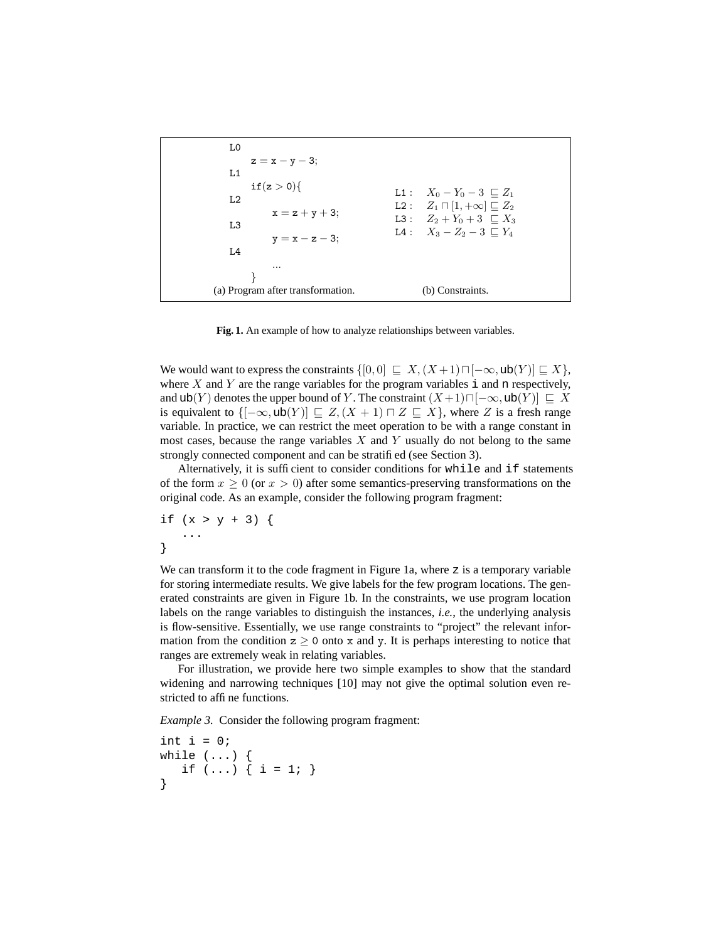```
L0
        z = x - y - 3;L1
        if(z > 0)L2
             x = z + y + 3;
   L3
             y = x - z - 3;
   L4
              ...
        }
                                          L1 : X_0 - Y_0 - 3 \sqsubseteq Z_1L2 : Z_1 \sqcap [1, +\infty] \sqsubseteq Z_2L3: Z_2+Y_0+3 \subseteq X_3L4 : X_3 - Z_2 - 3 \sqsubseteq Y_4(a) Program after transformation. (b) Constraints.
```
**Fig. 1.** An example of how to analyze relationships between variables.

We would want to express the constraints  $\{[0,0] \sqsubseteq X,(X+1)\sqcap[-\infty, \text{ub}(Y)] \sqsubseteq X\},\$ where  $X$  and  $Y$  are the range variables for the program variables  $\mathbf i$  and  $\mathbf n$  respectively, and  $\text{ub}(Y)$  denotes the upper bound of Y. The constraint  $(X+1)\sqcap[-\infty, \text{ub}(Y)] \sqsubseteq X$ is equivalent to  $\{[-\infty, \text{ub}(Y)] \sqsubseteq Z, (X + 1) \sqcap Z \sqsubseteq X\}$ , where Z is a fresh range variable. In practice, we can restrict the meet operation to be with a range constant in most cases, because the range variables  $X$  and  $Y$  usually do not belong to the same strongly connected component and can be stratified (see Section 3).

Alternatively, it is sufficient to consider conditions for while and if statements of the form  $x \geq 0$  (or  $x > 0$ ) after some semantics-preserving transformations on the original code. As an example, consider the following program fragment:

if  $(x > y + 3)$  { ... }

We can transform it to the code fragment in Figure 1a, where  $z$  is a temporary variable for storing intermediate results. We give labels for the few program locations. The generated constraints are given in Figure 1b. In the constraints, we use program location labels on the range variables to distinguish the instances, *i.e.*, the underlying analysis is flow-sensitive. Essentially, we use range constraints to "project" the relevant information from the condition  $z \ge 0$  onto x and y. It is perhaps interesting to notice that ranges are extremely weak in relating variables.

For illustration, we provide here two simple examples to show that the standard widening and narrowing techniques [10] may not give the optimal solution even restricted to affine functions.

*Example 3.* Consider the following program fragment:

```
int i = 0;
while (\ldots) {
   if (...) { i = 1; }
}
```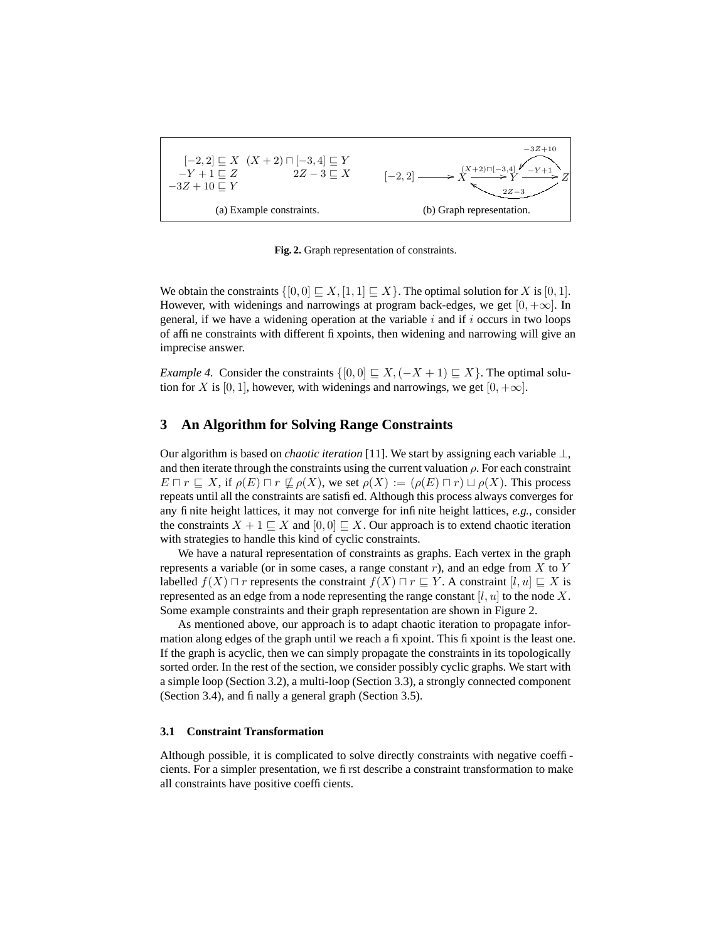

**Fig. 2.** Graph representation of constraints.

We obtain the constraints  $\{[0,0] \sqsubseteq X, [1,1] \sqsubseteq X\}$ . The optimal solution for X is [0, 1]. However, with widenings and narrowings at program back-edges, we get  $[0, +\infty]$ . In general, if we have a widening operation at the variable  $i$  and if  $i$  occurs in two loops of affine constraints with different fixpoints, then widening and narrowing will give an imprecise answer.

*Example* 4. Consider the constraints  $\{ [0, 0] \sqsubseteq X, (-X + 1) \sqsubseteq X \}$ . The optimal solution for X is [0, 1], however, with widenings and narrowings, we get  $[0, +\infty]$ .

# **3 An Algorithm for Solving Range Constraints**

Our algorithm is based on *chaotic iteration* [11]. We start by assigning each variable  $\perp$ , and then iterate through the constraints using the current valuation  $\rho$ . For each constraint  $E \sqcap r \sqsubseteq X$ , if  $\rho(E) \sqcap r \not\sqsubseteq \rho(X)$ , we set  $\rho(X) := (\rho(E) \sqcap r) \sqcup \rho(X)$ . This process repeats until all the constraints are satisfied. Although this process always converges for any finite height lattices, it may not converge for infinite height lattices, *e.g.*, consider the constraints  $X + 1 \subseteq X$  and  $[0, 0] \subseteq X$ . Our approach is to extend chaotic iteration with strategies to handle this kind of cyclic constraints.

We have a natural representation of constraints as graphs. Each vertex in the graph represents a variable (or in some cases, a range constant  $r$ ), and an edge from  $X$  to  $Y$ labelled  $f(X) \sqcap r$  represents the constraint  $f(X) \sqcap r \sqsubseteq Y$ . A constraint  $[l, u] \sqsubseteq X$  is represented as an edge from a node representing the range constant  $[l, u]$  to the node X. Some example constraints and their graph representation are shown in Figure 2.

As mentioned above, our approach is to adapt chaotic iteration to propagate information along edges of the graph until we reach a fixpoint. This fixpoint is the least one. If the graph is acyclic, then we can simply propagate the constraints in its topologically sorted order. In the rest of the section, we consider possibly cyclic graphs. We start with a simple loop (Section 3.2), a multi-loop (Section 3.3), a strongly connected component (Section 3.4), and finally a general graph (Section 3.5).

### **3.1 Constraint Transformation**

Although possible, it is complicated to solve directly constraints with negative coefficients. For a simpler presentation, we first describe a constraint transformation to make all constraints have positive coefficients.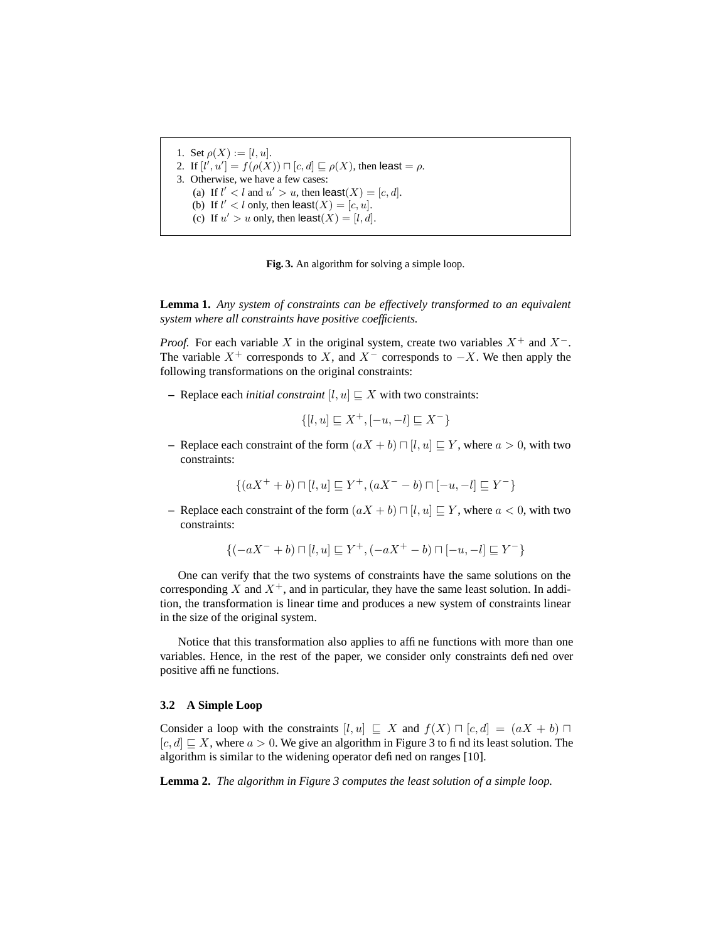1. Set  $\rho(X) := [l, u]$ . 2. If  $[l',u'] = f(\rho(X)) \sqcap [c,d] \sqsubseteq \rho(X)$ , then least  $= \rho$ . 3. Otherwise, we have a few cases: (a) If  $l' < l$  and  $u' > u$ , then  $\text{least}(X) = [c, d]$ . (b) If  $l' < l$  only, then least $(X) = [c, u]$ . (c) If  $u' > u$  only, then least $(X) = [l, d]$ .

**Fig. 3.** An algorithm for solving a simple loop.

**Lemma 1.** *Any system of constraints can be effectively transformed to an equivalent system where all constraints have positive coefficients.*

*Proof.* For each variable X in the original system, create two variables  $X^+$  and  $X^-$ . The variable  $X^+$  corresponds to  $X$ , and  $X^-$  corresponds to  $-X$ . We then apply the following transformations on the original constraints:

**–** Replace each *initial constraint*  $[l, u] \sqsubseteq X$  with two constraints:

$$
\{[l,u]\sqsubseteq X^+, [-u,-l]\sqsubseteq X^-\}
$$

**–** Replace each constraint of the form  $(aX + b) \sqcap [l, u] \sqsubseteq Y$ , where  $a > 0$ , with two constraints:

$$
\{(aX^+ + b) \sqcap [l, u] \sqsubseteq Y^+, (aX^- - b) \sqcap [-u, -l] \sqsubseteq Y^- \}
$$

**–** Replace each constraint of the form  $(aX + b) \sqcap [l, u] \sqsubseteq Y$ , where  $a < 0$ , with two constraints:

$$
\{(-aX^{-}+b)\sqcap [l, u] \sqsubseteq Y^{+}, (-aX^{+}-b)\sqcap [-u, -l] \sqsubseteq Y^{-}\}
$$

One can verify that the two systems of constraints have the same solutions on the corresponding X and  $X^+$ , and in particular, they have the same least solution. In addition, the transformation is linear time and produces a new system of constraints linear in the size of the original system.

Notice that this transformation also applies to affine functions with more than one variables. Hence, in the rest of the paper, we consider only constraints defined over positive affine functions.

### **3.2 A Simple Loop**

Consider a loop with the constraints  $[l, u] \sqsubseteq X$  and  $f(X) \sqcap [c, d] = (aX + b) \sqcap$  $[c, d] \sqsubset X$ , where  $a > 0$ . We give an algorithm in Figure 3 to find its least solution. The algorithm is similar to the widening operator defined on ranges [10].

**Lemma 2.** *The algorithm in Figure 3 computes the least solution of a simple loop.*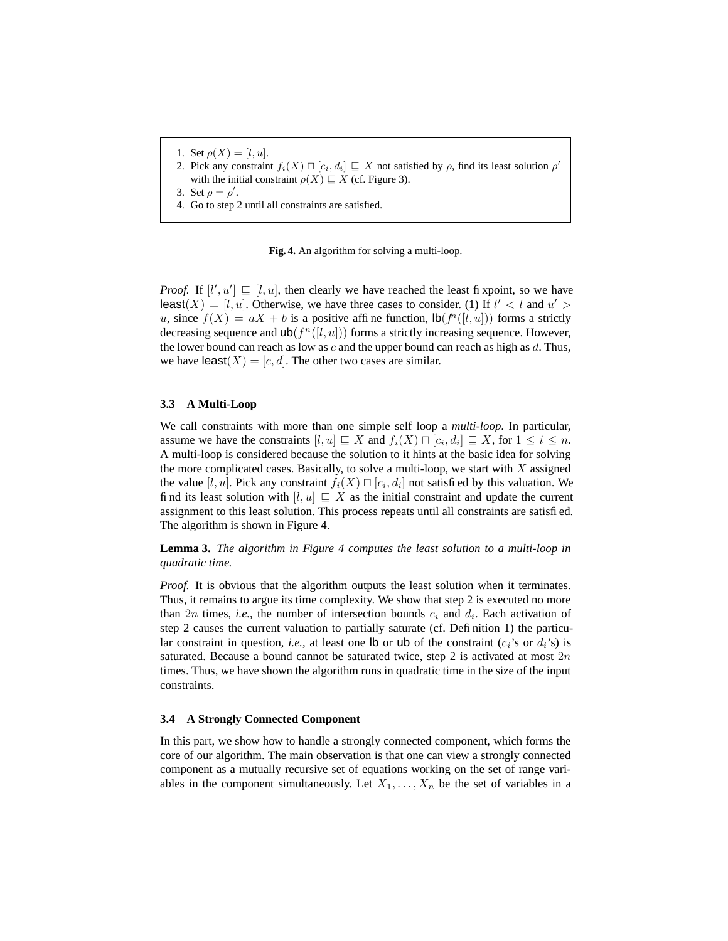1. Set  $\rho(X) = [l, u]$ .

- 2. Pick any constraint  $f_i(X) \sqcap [c_i, d_i] \sqsubseteq X$  not satisfied by  $\rho$ , find its least solution  $\rho'$ with the initial constraint  $\rho(X) \sqsubseteq X$  (cf. Figure 3).
- 3. Set  $\rho = \rho'$ .
- 4. Go to step 2 until all constraints are satisfied.

**Fig. 4.** An algorithm for solving a multi-loop.

*Proof.* If  $[l', u'] \sqsubseteq [l, u]$ , then clearly we have reached the least fixpoint, so we have least $(X) = [l, u]$ . Otherwise, we have three cases to consider. (1) If  $l' < l$  and  $u' >$ u, since  $f(X) = aX + b$  is a positive affine function,  $\mathsf{lb}(f^n([l, u]))$  forms a strictly decreasing sequence and  $\text{ub}(f^n([l, u]))$  forms a strictly increasing sequence. However, the lower bound can reach as low as  $c$  and the upper bound can reach as high as  $d$ . Thus, we have least $(X) = [c, d]$ . The other two cases are similar.

#### **3.3 A Multi-Loop**

We call constraints with more than one simple self loop a *multi-loop*. In particular, assume we have the constraints  $[l, u] \sqsubseteq X$  and  $f_i(X) \sqcap [c_i, d_i] \sqsubseteq X$ , for  $1 \leq i \leq n$ . A multi-loop is considered because the solution to it hints at the basic idea for solving the more complicated cases. Basically, to solve a multi-loop, we start with  $X$  assigned the value [l, u]. Pick any constraint  $f_i(X) \sqcap [c_i, d_i]$  not satisfied by this valuation. We find its least solution with  $[l, u] \sqsubseteq X$  as the initial constraint and update the current assignment to this least solution. This process repeats until all constraints are satisfied. The algorithm is shown in Figure 4.

**Lemma 3.** *The algorithm in Figure 4 computes the least solution to a multi-loop in quadratic time.*

*Proof.* It is obvious that the algorithm outputs the least solution when it terminates. Thus, it remains to argue its time complexity. We show that step 2 is executed no more than  $2n$  times, *i.e.*, the number of intersection bounds  $c_i$  and  $d_i$ . Each activation of step 2 causes the current valuation to partially saturate (cf. Definition 1) the particular constraint in question, *i.e.*, at least one lb or ub of the constraint  $(c_i$ 's or  $d_i$ 's) is saturated. Because a bound cannot be saturated twice, step 2 is activated at most  $2n$ times. Thus, we have shown the algorithm runs in quadratic time in the size of the input constraints.

#### **3.4 A Strongly Connected Component**

In this part, we show how to handle a strongly connected component, which forms the core of our algorithm. The main observation is that one can view a strongly connected component as a mutually recursive set of equations working on the set of range variables in the component simultaneously. Let  $X_1, \ldots, X_n$  be the set of variables in a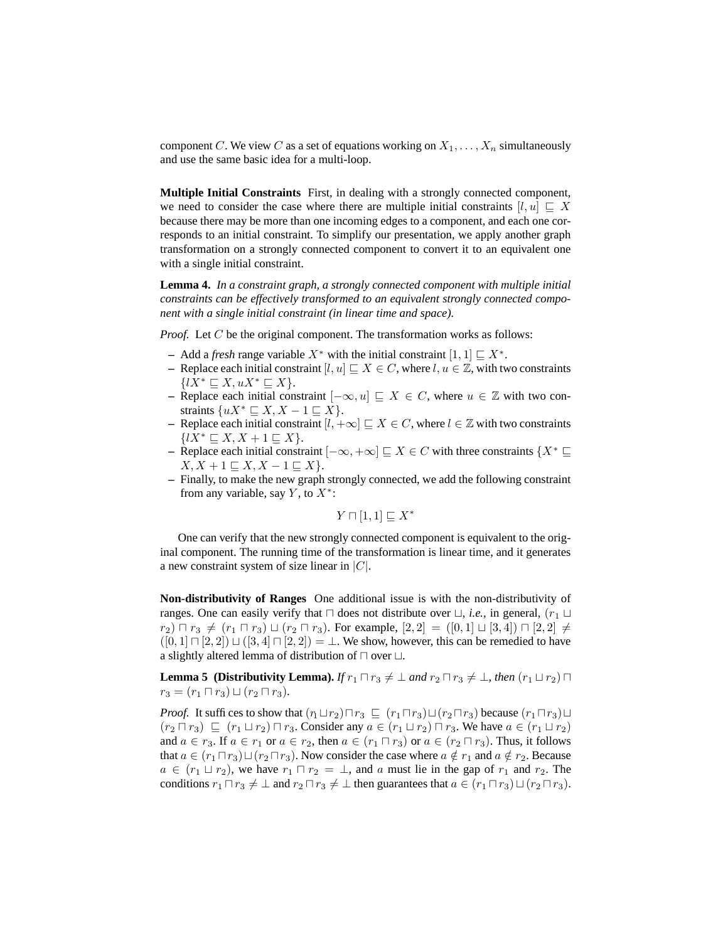component C. We view C as a set of equations working on  $X_1, \ldots, X_n$  simultaneously and use the same basic idea for a multi-loop.

**Multiple Initial Constraints** First, in dealing with a strongly connected component, we need to consider the case where there are multiple initial constraints  $[l, u] \sqsubset X$ because there may be more than one incoming edges to a component, and each one corresponds to an initial constraint. To simplify our presentation, we apply another graph transformation on a strongly connected component to convert it to an equivalent one with a single initial constraint.

**Lemma 4.** *In a constraint graph, a strongly connected component with multiple initial constraints can be effectively transformed to an equivalent strongly connected component with a single initial constraint (in linear time and space).*

*Proof.* Let C be the original component. The transformation works as follows:

- **–** Add a *fresh* range variable  $X^*$  with the initial constraint  $[1, 1] ⊆ X^*$ .
- **–** Replace each initial constraint  $[l, u] \sqsubseteq X \in C$ , where  $l, u \in \mathbb{Z}$ , with two constraints  $\{lX^* \sqsubseteq X, uX^* \sqsubseteq X\}.$
- **–** Replace each initial constraint  $[-\infty, u] \sqsubseteq X \in C$ , where  $u \in \mathbb{Z}$  with two constraints  $\{uX^* \sqsubseteq X, X - 1 \sqsubseteq X\}.$
- **–** Replace each initial constraint  $[l, +\infty] \sqsubseteq X \in C$ , where  $l \in \mathbb{Z}$  with two constraints  $\{lX^* \sqsubseteq X, X + 1 \sqsubseteq X\}.$
- **–** Replace each initial constraint  $[-\infty, +\infty]$   $\subseteq$  X ∈ C with three constraints {X<sup>\*</sup>  $\subseteq$  $X, X + 1 \sqsubseteq X, X - 1 \sqsubseteq X$ .
- **–** Finally, to make the new graph strongly connected, we add the following constraint from any variable, say Y, to  $X^*$ :

$$
Y \sqcap [1,1] \sqsubseteq X^*
$$

One can verify that the new strongly connected component is equivalent to the original component. The running time of the transformation is linear time, and it generates a new constraint system of size linear in  $|C|$ .

**Non-distributivity of Ranges** One additional issue is with the non-distributivity of ranges. One can easily verify that  $\sqcap$  does not distribute over  $\sqcup$ , *i.e.*, in general,  $(r_1 \sqcup$  $r_2$ )  $r_3 \neq (r_1 \sqcap r_3) \sqcup (r_2 \sqcap r_3)$ . For example,  $[2, 2] = ([0, 1] \sqcup [3, 4]) \sqcap [2, 2] \neq 0$  $([0, 1] \sqcap [2, 2]) \sqcup ([3, 4] \sqcap [2, 2]) = \bot$ . We show, however, this can be remedied to have a slightly altered lemma of distribution of  $\Box$  over  $\Box$ .

**Lemma 5 (Distributivity Lemma).** *If*  $r_1 \sqcap r_3 \neq \bot$  *and*  $r_2 \sqcap r_3 \neq \bot$ *, then*  $(r_1 \sqcup r_2) \sqcap$  $r_3 = (r_1 \sqcap r_3) \sqcup (r_2 \sqcap r_3).$ 

*Proof.* It suffices to show that  $(r_1 \sqcup r_2) \sqcap r_3 \sqsubseteq (r_1 \sqcap r_3) \sqcup (r_2 \sqcap r_3)$  because  $(r_1 \sqcap r_3) \sqcup$  $(r_2 \sqcap r_3) \sqsubseteq (r_1 \sqcup r_2) \sqcap r_3$ . Consider any  $a \in (r_1 \sqcup r_2) \sqcap r_3$ . We have  $a \in (r_1 \sqcup r_2)$ and  $a \in r_3$ . If  $a \in r_1$  or  $a \in r_2$ , then  $a \in (r_1 \sqcap r_3)$  or  $a \in (r_2 \sqcap r_3)$ . Thus, it follows that  $a \in (r_1 \sqcap r_3) \sqcup (r_2 \sqcap r_3)$ . Now consider the case where  $a \notin r_1$  and  $a \notin r_2$ . Because  $a \in (r_1 \sqcup r_2)$ , we have  $r_1 \sqcap r_2 = \bot$ , and a must lie in the gap of  $r_1$  and  $r_2$ . The conditions  $r_1 \sqcap r_3 \neq \bot$  and  $r_2 \sqcap r_3 \neq \bot$  then guarantees that  $a \in (r_1 \sqcap r_3) \sqcup (r_2 \sqcap r_3)$ .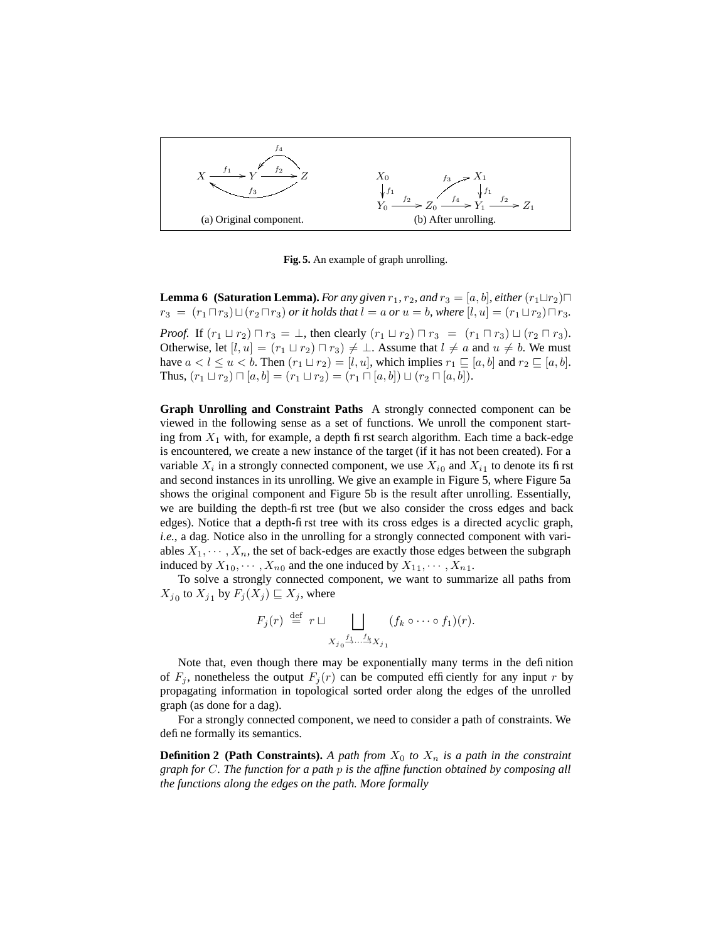

**Fig. 5.** An example of graph unrolling.

**Lemma 6 (Saturation Lemma).** *For any given*  $r_1$ ,  $r_2$ , and  $r_3 = [a, b]$ , either  $(r_1 \sqcup r_2) \sqcap$  $r_3 = (r_1 \sqcap r_3) \sqcup (r_2 \sqcap r_3)$  *or it holds that*  $l = a$  *or*  $u = b$ *, where*  $[l, u] = (r_1 \sqcup r_2) \sqcap r_3$ *.* 

*Proof.* If  $(r_1 \sqcup r_2) \sqcap r_3 = \bot$ , then clearly  $(r_1 \sqcup r_2) \sqcap r_3 = (r_1 \sqcap r_3) \sqcup (r_2 \sqcap r_3)$ . Otherwise, let  $[l, u] = (r_1 \sqcup r_2) \sqcap r_3 \neq \bot$ . Assume that  $l \neq a$  and  $u \neq b$ . We must have  $a < l \le u < b$ . Then  $(r_1 \sqcup r_2) = [l, u]$ , which implies  $r_1 \sqsubseteq [a, b]$  and  $r_2 \sqsubseteq [a, b]$ . Thus,  $(r_1 \sqcup r_2) \sqcap [a, b] = (r_1 \sqcup r_2) = (r_1 \sqcap [a, b]) \sqcup (r_2 \sqcap [a, b]).$ 

**Graph Unrolling and Constraint Paths** A strongly connected component can be viewed in the following sense as a set of functions. We unroll the component starting from  $X_1$  with, for example, a depth first search algorithm. Each time a back-edge is encountered, we create a new instance of the target (if it has not been created). For a variable  $X_i$  in a strongly connected component, we use  $X_{i0}$  and  $X_{i1}$  to denote its first and second instances in its unrolling. We give an example in Figure 5, where Figure 5a shows the original component and Figure 5b is the result after unrolling. Essentially, we are building the depth-first tree (but we also consider the cross edges and back edges). Notice that a depth-first tree with its cross edges is a directed acyclic graph, *i.e.*, a dag. Notice also in the unrolling for a strongly connected component with variables  $X_1, \dots, X_n$ , the set of back-edges are exactly those edges between the subgraph induced by  $X_{10}, \dots, X_{n0}$  and the one induced by  $X_{11}, \dots, X_{n1}$ .

To solve a strongly connected component, we want to summarize all paths from  $X_{j_0}$  to  $X_{j_1}$  by  $F_j(X_j) \sqsubseteq X_j$ , where

$$
F_j(r) \stackrel{\text{def}}{=} r \sqcup \bigsqcup_{X_{j_0}\stackrel{f_1}{\longrightarrow} \ldots \stackrel{f_k}{\longrightarrow} X_{j_1}} (f_k \circ \cdots \circ f_1)(r).
$$

Note that, even though there may be exponentially many terms in the definition of  $F_j$ , nonetheless the output  $F_j(r)$  can be computed efficiently for any input r by propagating information in topological sorted order along the edges of the unrolled graph (as done for a dag).

For a strongly connected component, we need to consider a path of constraints. We define formally its semantics.

**Definition 2** (Path Constraints). A path from  $X_0$  to  $X_n$  is a path in the constraint *graph for* C*. The function for a path* p *is the affine function obtained by composing all the functions along the edges on the path. More formally*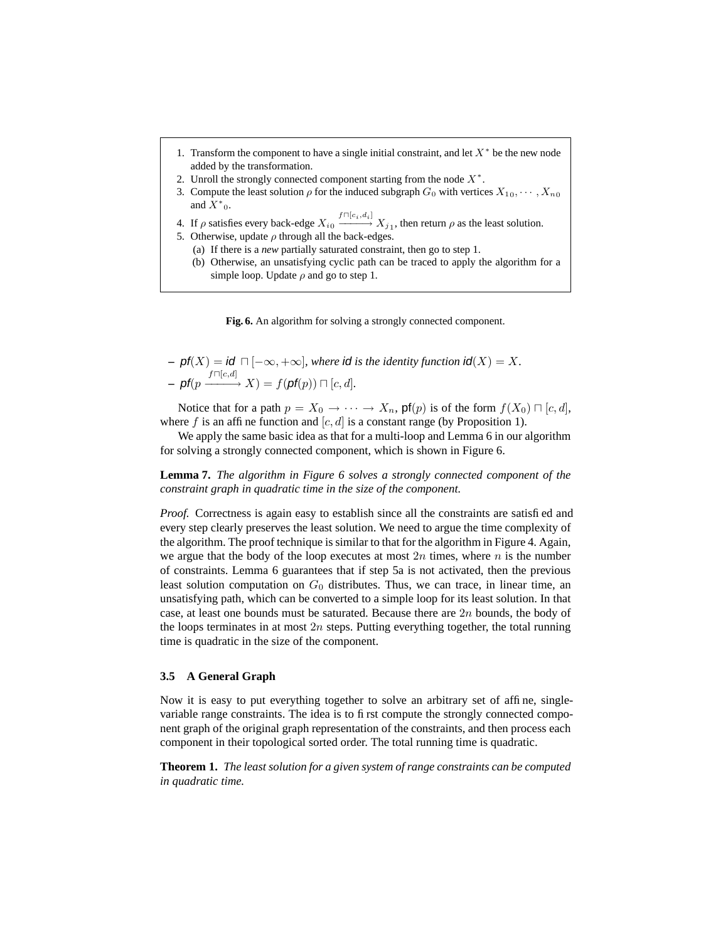- 1. Transform the component to have a single initial constraint, and let  $X^*$  be the new node added by the transformation.
- 2. Unroll the strongly connected component starting from the node  $X^*$ .
- 3. Compute the least solution  $\rho$  for the induced subgraph  $G_0$  with vertices  $X_{10}, \dots, X_{n0}$ and  $\hat{X}^*$ <sub>0</sub>.
- 4. If  $\rho$  satisfies every back-edge  $X_{i0} \xrightarrow{f \cap [c_i, d_i]} X_{j1}$ , then return  $\rho$  as the least solution.
- 5. Otherwise, update  $\rho$  through all the back-edges.
	- (a) If there is a *new* partially saturated constraint, then go to step 1.
	- (b) Otherwise, an unsatisfying cyclic path can be traced to apply the algorithm for a simple loop. Update  $\rho$  and go to step 1.

**Fig. 6.** An algorithm for solving a strongly connected component.

- 
$$
pf(X) = id \sqcap [-\infty, +\infty]
$$
, where *id* is the identity function  $id(X) = X$ .  
\n-  $pf(p \xrightarrow{f \sqcap [c,d]} X) = f(pf(p)) \sqcap [c,d]$ .

Notice that for a path  $p = X_0 \to \cdots \to X_n$ ,  $\mathsf{pf}(p)$  is of the form  $f(X_0) \sqcap [c, d]$ , where f is an affine function and  $[c, d]$  is a constant range (by Proposition 1).

We apply the same basic idea as that for a multi-loop and Lemma 6 in our algorithm for solving a strongly connected component, which is shown in Figure 6.

**Lemma 7.** *The algorithm in Figure 6 solves a strongly connected component of the constraint graph in quadratic time in the size of the component.*

*Proof.* Correctness is again easy to establish since all the constraints are satisfied and every step clearly preserves the least solution. We need to argue the time complexity of the algorithm. The proof technique issimilar to that for the algorithm in Figure 4. Again, we argue that the body of the loop executes at most  $2n$  times, where n is the number of constraints. Lemma 6 guarantees that if step 5a is not activated, then the previous least solution computation on  $G_0$  distributes. Thus, we can trace, in linear time, an unsatisfying path, which can be converted to a simple loop for its least solution. In that case, at least one bounds must be saturated. Because there are 2n bounds, the body of the loops terminates in at most  $2n$  steps. Putting everything together, the total running time is quadratic in the size of the component.

#### **3.5 A General Graph**

Now it is easy to put everything together to solve an arbitrary set of affine, singlevariable range constraints. The idea is to first compute the strongly connected component graph of the original graph representation of the constraints, and then process each component in their topological sorted order. The total running time is quadratic.

**Theorem 1.** *The least solution for a given system of range constraints can be computed in quadratic time.*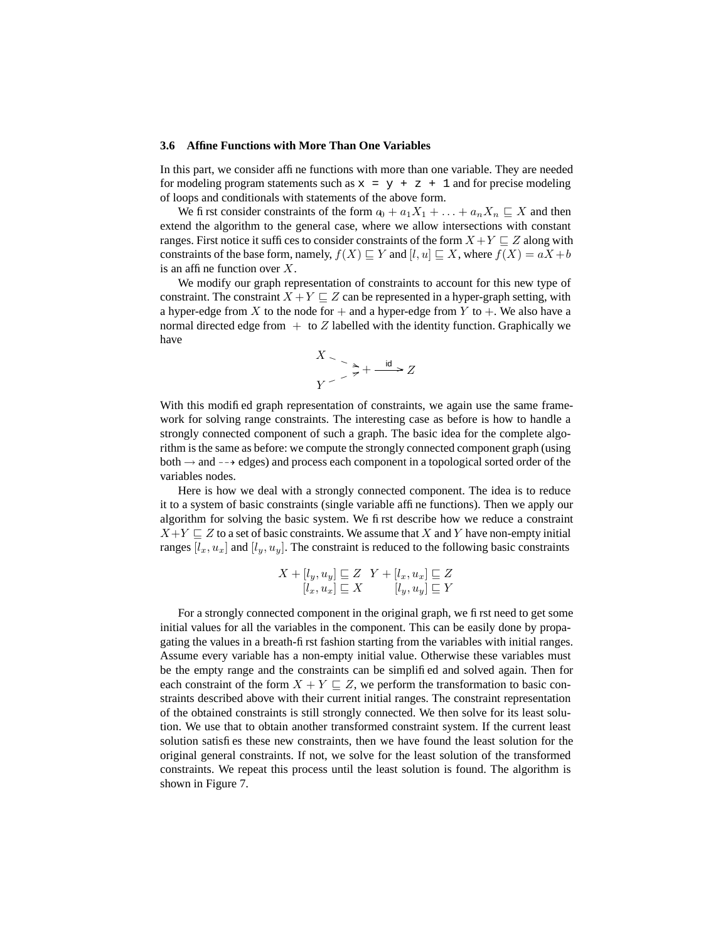#### **3.6 Affine Functions with More Than One Variables**

In this part, we consider affine functions with more than one variable. They are needed for modeling program statements such as  $x = y + z + 1$  and for precise modeling of loops and conditionals with statements of the above form.

We first consider constraints of the form  $a_0 + a_1X_1 + \ldots + a_nX_n \sqsubseteq X$  and then extend the algorithm to the general case, where we allow intersections with constant ranges. First notice it suffices to consider constraints of the form  $X + Y \sqsubseteq Z$  along with constraints of the base form, namely,  $f(X) \sqsubseteq Y$  and  $[l, u] \sqsubseteq X$ , where  $f(X) = aX + b$ is an affine function over  $X$ .

We modify our graph representation of constraints to account for this new type of constraint. The constraint  $X + Y \nightharpoonup Z$  can be represented in a hyper-graph setting, with a hyper-edge from X to the node for  $+$  and a hyper-edge from Y to  $+$ . We also have a normal directed edge from  $+$  to  $Z$  labelled with the identity function. Graphically we have

$$
\begin{array}{c}\nX \\
Y\n\end{array} \Rightarrow \frac{1}{7} + \frac{id}{\longrightarrow Z}
$$

With this modified graph representation of constraints, we again use the same framework for solving range constraints. The interesting case as before is how to handle a strongly connected component of such a graph. The basic idea for the complete algorithm is the same as before: we compute the strongly connected component graph (using both  $\rightarrow$  and  $-\rightarrow$  edges) and process each component in a topological sorted order of the variables nodes.

Here is how we deal with a strongly connected component. The idea is to reduce it to a system of basic constraints (single variable affine functions). Then we apply our algorithm for solving the basic system. We first describe how we reduce a constraint  $X+Y \sqsubseteq Z$  to a set of basic constraints. We assume that X and Y have non-empty initial ranges  $[l_x, u_x]$  and  $[l_y, u_y]$ . The constraint is reduced to the following basic constraints

$$
X + [l_y, u_y] \sqsubseteq Z \quad Y + [l_x, u_x] \sqsubseteq Z
$$

$$
[l_x, u_x] \sqsubseteq X \qquad [l_y, u_y] \sqsubseteq Y
$$

For a strongly connected component in the original graph, we first need to get some initial values for all the variables in the component. This can be easily done by propagating the values in a breath-first fashion starting from the variables with initial ranges. Assume every variable has a non-empty initial value. Otherwise these variables must be the empty range and the constraints can be simplified and solved again. Then for each constraint of the form  $X + Y \sqsubseteq Z$ , we perform the transformation to basic constraints described above with their current initial ranges. The constraint representation of the obtained constraints is still strongly connected. We then solve for its least solution. We use that to obtain another transformed constraint system. If the current least solution satisfies these new constraints, then we have found the least solution for the original general constraints. If not, we solve for the least solution of the transformed constraints. We repeat this process until the least solution is found. The algorithm is shown in Figure 7.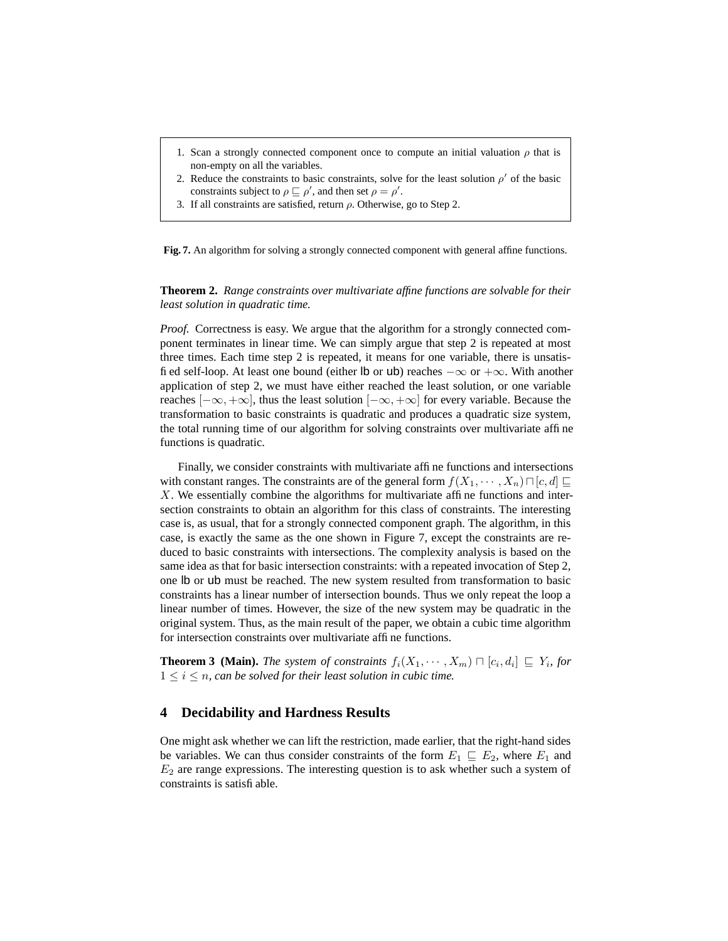- 1. Scan a strongly connected component once to compute an initial valuation  $\rho$  that is non-empty on all the variables.
- 2. Reduce the constraints to basic constraints, solve for the least solution  $\rho'$  of the basic constraints subject to  $\rho \sqsubseteq \rho'$ , and then set  $\rho = \rho'$ .
- 3. If all constraints are satisfied, return  $\rho$ . Otherwise, go to Step 2.

**Fig. 7.** An algorithm for solving a strongly connected component with general affine functions.

**Theorem 2.** *Range constraints over multivariate affine functions are solvable for their least solution in quadratic time.*

*Proof.* Correctness is easy. We argue that the algorithm for a strongly connected component terminates in linear time. We can simply argue that step 2 is repeated at most three times. Each time step 2 is repeated, it means for one variable, there is unsatisfied self-loop. At least one bound (either lb or ub) reaches  $-\infty$  or  $+\infty$ . With another application of step 2, we must have either reached the least solution, or one variable reaches  $[-\infty, +\infty]$ , thus the least solution  $[-\infty, +\infty]$  for every variable. Because the transformation to basic constraints is quadratic and produces a quadratic size system, the total running time of our algorithm for solving constraints over multivariate affine functions is quadratic.

Finally, we consider constraints with multivariate affine functions and intersections with constant ranges. The constraints are of the general form  $f(X_1, \dots, X_n) \sqcap [c, d] \sqsubseteq$ X. We essentially combine the algorithms for multivariate affine functions and intersection constraints to obtain an algorithm for this class of constraints. The interesting case is, as usual, that for a strongly connected component graph. The algorithm, in this case, is exactly the same as the one shown in Figure 7, except the constraints are reduced to basic constraints with intersections. The complexity analysis is based on the same idea as that for basic intersection constraints: with a repeated invocation of Step 2, one lb or ub must be reached. The new system resulted from transformation to basic constraints has a linear number of intersection bounds. Thus we only repeat the loop a linear number of times. However, the size of the new system may be quadratic in the original system. Thus, as the main result of the paper, we obtain a cubic time algorithm for intersection constraints over multivariate affine functions.

**Theorem 3 (Main).** The system of constraints  $f_i(X_1, \dots, X_m) \sqcap [c_i, d_i] \sqsubseteq Y_i$ , for  $1 \leq i \leq n$ , can be solved for their least solution in cubic time.

# **4 Decidability and Hardness Results**

One might ask whether we can lift the restriction, made earlier, that the right-hand sides be variables. We can thus consider constraints of the form  $E_1 \subseteq E_2$ , where  $E_1$  and  $E<sub>2</sub>$  are range expressions. The interesting question is to ask whether such a system of constraints is satisfiable.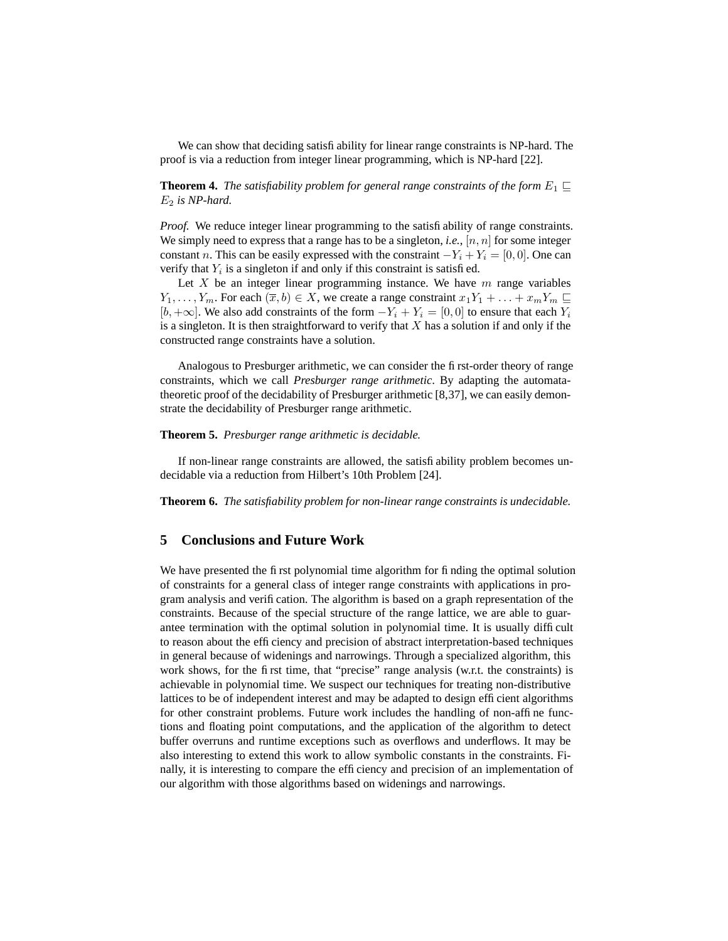We can show that deciding satisfiability for linear range constraints is NP-hard. The proof is via a reduction from integer linear programming, which is NP-hard [22].

**Theorem 4.** The satisfiability problem for general range constraints of the form  $E_1 \sqsubseteq$  $E_2$  *is NP-hard.* 

*Proof.* We reduce integer linear programming to the satisfiability of range constraints. We simply need to express that a range has to be a singleton, *i.e.*,  $[n, n]$  for some integer constant *n*. This can be easily expressed with the constraint  $-Y_i + Y_i = [0, 0]$ . One can verify that  $Y_i$  is a singleton if and only if this constraint is satisfied.

Let  $X$  be an integer linear programming instance. We have  $m$  range variables  $Y_1, \ldots, Y_m$ . For each  $(\overline{x}, b) \in X$ , we create a range constraint  $x_1Y_1 + \ldots + x_mY_m \sqsubseteq$  $[b, +\infty]$ . We also add constraints of the form  $-Y_i + Y_i = [0, 0]$  to ensure that each  $Y_i$ is a singleton. It is then straightforward to verify that  $X$  has a solution if and only if the constructed range constraints have a solution.

Analogous to Presburger arithmetic, we can consider the first-order theory of range constraints, which we call *Presburger range arithmetic*. By adapting the automatatheoretic proof of the decidability of Presburger arithmetic [8,37], we can easily demonstrate the decidability of Presburger range arithmetic.

#### **Theorem 5.** *Presburger range arithmetic is decidable.*

If non-linear range constraints are allowed, the satisfiability problem becomes undecidable via a reduction from Hilbert's 10th Problem [24].

**Theorem 6.** *The satisfiability problem for non-linear range constraints is undecidable.*

### **5 Conclusions and Future Work**

We have presented the first polynomial time algorithm for finding the optimal solution of constraints for a general class of integer range constraints with applications in program analysis and verification. The algorithm is based on a graph representation of the constraints. Because of the special structure of the range lattice, we are able to guarantee termination with the optimal solution in polynomial time. It is usually difficult to reason about the efficiency and precision of abstract interpretation-based techniques in general because of widenings and narrowings. Through a specialized algorithm, this work shows, for the first time, that "precise" range analysis (w.r.t. the constraints) is achievable in polynomial time. We suspect our techniques for treating non-distributive lattices to be of independent interest and may be adapted to design efficient algorithms for other constraint problems. Future work includes the handling of non-affine functions and floating point computations, and the application of the algorithm to detect buffer overruns and runtime exceptions such as overflows and underflows. It may be also interesting to extend this work to allow symbolic constants in the constraints. Finally, it is interesting to compare the efficiency and precision of an implementation of our algorithm with those algorithms based on widenings and narrowings.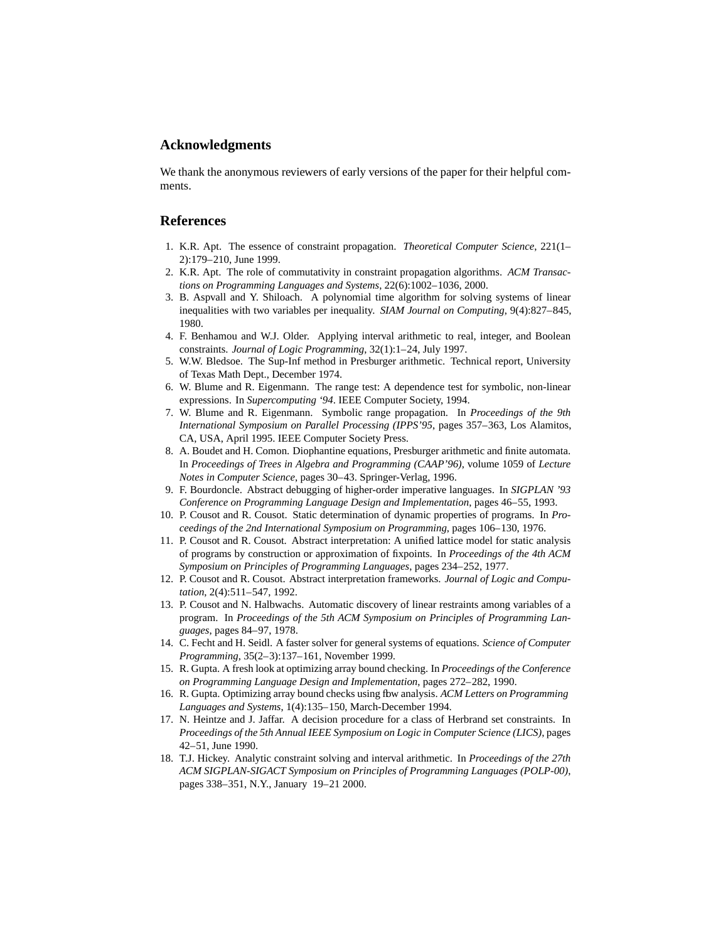# **Acknowledgments**

We thank the anonymous reviewers of early versions of the paper for their helpful comments.

# **References**

- 1. K.R. Apt. The essence of constraint propagation. *Theoretical Computer Science*, 221(1– 2):179–210, June 1999.
- 2. K.R. Apt. The role of commutativity in constraint propagation algorithms. *ACM Transactions on Programming Languages and Systems*, 22(6):1002–1036, 2000.
- 3. B. Aspvall and Y. Shiloach. A polynomial time algorithm for solving systems of linear inequalities with two variables per inequality. *SIAM Journal on Computing*, 9(4):827–845, 1980.
- 4. F. Benhamou and W.J. Older. Applying interval arithmetic to real, integer, and Boolean constraints. *Journal of Logic Programming*, 32(1):1–24, July 1997.
- 5. W.W. Bledsoe. The Sup-Inf method in Presburger arithmetic. Technical report, University of Texas Math Dept., December 1974.
- 6. W. Blume and R. Eigenmann. The range test: A dependence test for symbolic, non-linear expressions. In *Supercomputing '94*. IEEE Computer Society, 1994.
- 7. W. Blume and R. Eigenmann. Symbolic range propagation. In *Proceedings of the 9th International Symposium on Parallel Processing (IPPS'95*, pages 357–363, Los Alamitos, CA, USA, April 1995. IEEE Computer Society Press.
- 8. A. Boudet and H. Comon. Diophantine equations, Presburger arithmetic and finite automata. In *Proceedings of Trees in Algebra and Programming (CAAP'96)*, volume 1059 of *Lecture Notes in Computer Science*, pages 30–43. Springer-Verlag, 1996.
- 9. F. Bourdoncle. Abstract debugging of higher-order imperative languages. In *SIGPLAN '93 Conference on Programming Language Design and Implementation*, pages 46–55, 1993.
- 10. P. Cousot and R. Cousot. Static determination of dynamic properties of programs. In *Proceedings of the 2nd International Symposium on Programming*, pages 106–130, 1976.
- 11. P. Cousot and R. Cousot. Abstract interpretation: A unified lattice model for static analysis of programs by construction or approximation of fixpoints. In *Proceedings of the 4th ACM Symposium on Principles of Programming Languages*, pages 234–252, 1977.
- 12. P. Cousot and R. Cousot. Abstract interpretation frameworks. *Journal of Logic and Computation*, 2(4):511–547, 1992.
- 13. P. Cousot and N. Halbwachs. Automatic discovery of linear restraints among variables of a program. In *Proceedings of the 5th ACM Symposium on Principles of Programming Languages*, pages 84–97, 1978.
- 14. C. Fecht and H. Seidl. A faster solver for general systems of equations. *Science of Computer Programming*, 35(2–3):137–161, November 1999.
- 15. R. Gupta. A fresh look at optimizing array bound checking. In *Proceedings of the Conference on Programming Language Design and Implementation*, pages 272–282, 1990.
- 16. R. Gupta. Optimizing array bound checks using flow analysis. *ACM Letters on Programming Languages and Systems*, 1(4):135–150, March-December 1994.
- 17. N. Heintze and J. Jaffar. A decision procedure for a class of Herbrand set constraints. In *Proceedings of the 5th Annual IEEE Symposium on Logic in Computer Science (LICS)*, pages 42–51, June 1990.
- 18. T.J. Hickey. Analytic constraint solving and interval arithmetic. In *Proceedings of the 27th ACM SIGPLAN-SIGACT Symposium on Principles of Programming Languages (POLP-00)*, pages 338–351, N.Y., January 19–21 2000.